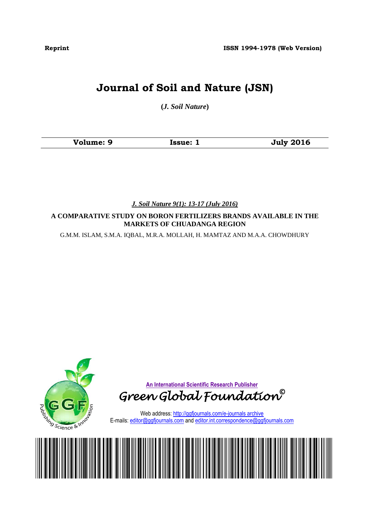**Reprint ISSN 1994-1978 (Web Version)**

# **Journal of Soil and Nature (JSN)**

**(***J. Soil Nature***)**

| Volume: 9<br>Issue: 1 | <b>July 2016</b> |
|-----------------------|------------------|
|-----------------------|------------------|

*J. Soil Nature 9(1): 13-17 (July 2016)*

**A COMPARATIVE STUDY ON BORON FERTILIZERS BRANDS AVAILABLE IN THE MARKETS OF CHUADANGA REGION**

G.M.M. ISLAM, S.M.A. IQBAL, M.R.A. MOLLAH, H. MAMTAZ AND M.A.A. CHOWDHURY

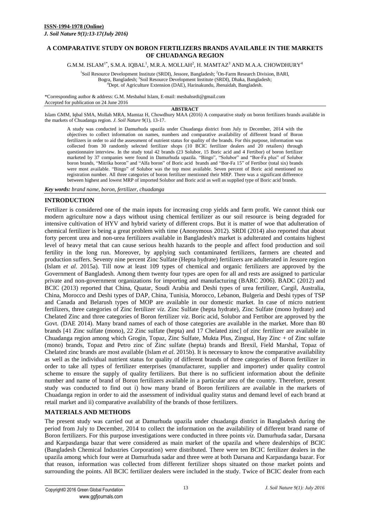### **A COMPARATIVE STUDY ON BORON FERTILIZERS BRANDS AVAILABLE IN THE MARKETS OF CHUADANGA REGION**

G.M.M. ISLAM $^{1*}$ , S.M.A. IQBAL $^{1}$ , M.R.A. MOLLAH $^{2}$ , H. MAMTAZ $^{3}$  AND M.A.A. CHOWDHUR $\rm{Y}^{4}$ 

<sup>1</sup>Soil Resource Development Institute (SRDI), Jessore, Bangladesh; <sup>2</sup>On-Farm Research Division, BARI, Bogra, Bangladesh; <sup>3</sup> Soil Resource Development Institute (SRDI), Dhaka, Bangladesh; <sup>4</sup>Dept. of Agriculture Extension (DAE), Harinakundu, Jhenaidah, Bangladesh.

\*Corresponding author & address: G.M. Mesbahul Islam, E-mail[: mesbahsrdi@gmail.com](mailto:mesbahsrdi@gmail.com) Accepted for publication on 24 June 2016

#### **ABSTRACT**

Islam GMM, Iqbal SMA, Mollah MRA, Mamtaz H, Chowdhury MAA (2016) A comparative study on boron fertilizers brands available in the markets of Chuadanga region. *J. Soil Nature* 9(1), 13-17.

A study was conducted in Damurhuda upazila under Chuadanga district from July to December, 2014 with the objectives to collect information on names, numbers and comparative availability of different brand of Boron fertilizers in order to aid the assessment of nutrient status for quality of the brands. For this purpose, information was collected from 30 randomly selected fertilizer shops (10 BCIC fertilizer dealers and 20 retailers) through questionnaire interview. In the study total 42 brands (23 Solubor, 15 Boric acid and 4 Fertibor) of boron fertilizer marketed by 37 companies were found in Damurhuda upazila. "Bingo", "Solubor" and "Bor-Fa plus" of Solubor boron brands, "Mitrika boron" and "Alfa boron" of Boric acid brands and "Bor-Fa 15" of Fertibor (total six) brands were most available. "Bingo" of Solubor was the top most available. Seven percent of Boric acid mentioned no registration number. All three categories of boron fertilizer mentioned their MRP. There was a significant difference between highest and lowest MRP of imported Solubor and Boric acid as well as supplied type of Boric acid brands.

*Key words: brand name, boron, fertilizer, chuadanga* 

#### **INTRODUCTION**

Fertilizer is considered one of the main inputs for increasing crop yields and farm profit. We cannot think our modern agriculture now a days without using chemical fertilizer as our soil resource is being degraded for intensive cultivation of HYV and hybrid variety of different crops. But it is matter of woe that adulteration of chemical fertilizer is being a great problem with time (Anonymous 2012). SRDI (2014) also reported that about forty percent urea and non-urea fertilizers available in Bangladesh's market is adulterated and contains highest level of heavy metal that can cause serious health hazards to the people and affect food production and soil fertility in the long run. Moreover, by applying such contaminated fertilizers, farmers are cheated and production suffers. Seventy nine percent Zinc Sulfate (Hepta hydrate) fertilizers are adulterated in Jessore region (Islam *et al.* 2015a). Till now at least 109 types of chemical and organic fertilizers are approved by the Government of Bangladesh. Among them twenty four types are open for all and rests are assigned to particular private and non-government organizations for importing and manufacturing (BARC 2006). BADC (2012) and BCIC (2013) reported that China, Quatar, Soudi Arabia and Deshi types of urea fertilizer, Cargil, Australia, China, Morocco and Deshi types of DAP, China, Tunisia, Morocco, Lebanon, Bulgeria and Deshi types of TSP and Canada and Belarush types of MOP are available in our domestic market. In case of micro nutrient fertilizers, three categories of Zinc fertilizer *viz*. Zinc Sulfate (hepta hydrate), Zinc Sulfate (mono hydrate) and Chelated Zinc and three categories of Boron fertilizer *viz*. Boric acid, Solubor and Fertibor are approved by the Govt. (DAE 2014). Many brand names of each of those categories are available in the market. More than 80 brands [41 Zinc sulfate (mono), 22 Zinc sulfate (hepta) and 17 Chelated zinc] of zinc fertilizer are available in Chuadanga region among which Grogin, Topaz, Zinc Sulfate, Mukta Plus, Zingsul, Hay Zinc + of Zinc sulfate (mono) brands, Topaz and Petro zinc of Zinc sulfate (hepta) brands and Brexil, Field Marshal, Topaz of Chelated zinc brands are most available (Islam *et al*. 2015b). It is necessary to know the comparative availability as well as the individual nutrient status for quality of different brands of three categories of Boron fertilizer in order to take all types of fertilizer enterprises (manufacturer, supplier and importer) under quality control scheme to ensure the supply of quality fertilizers. But there is no sufficient information about the definite number and name of brand of Boron fertilizers available in a particular area of the country. Therefore, present study was conducted to find out i) how many brand of Boron fertilizers are available in the markets of Chuadanga region in order to aid the assessment of individual quality status and demand level of each brand at retail market and ii) comparative availability of the brands of those fertilizers.

#### **MATERIALS AND METHODS**

The present study was carried out at Damurhuda upazila under chuadanga district in Bangladesh during the period from July to December, 2014 to collect the information on the availability of different brand name of Boron fertilizers. For this purpose investigations were conducted in three points *viz.* Damurhuda sadar, Darsana and Karpasdanga bazar that were considered as main market of the upazila and where dealerships of BCIC (Bangladesh Chemical Industries Corporation) were distributed. There were ten BCIC fertilizer dealers in the upazila among which four were at Damurhuda sadar and three were at both Darsana and Karpasdanga bazar. For that reason, information was collected from different fertilizer shops situated on those market points and surrounding the points. All BCIC fertilizer dealers were included in the study. Twice of BCIC dealer from each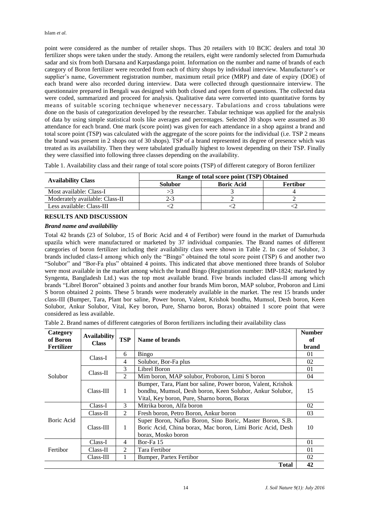point were considered as the number of retailer shops. Thus 20 retailers with 10 BCIC dealers and total 30 fertilizer shops were taken under the study. Among the retailers, eight were randomly selected from Damurhuda sadar and six from both Darsana and Karpasdanga point. Information on the number and name of brands of each category of Boron fertilizer were recorded from each of thirty shops by individual interview. Manufacturer's or supplier's name, Government registration number, maximum retail price (MRP) and date of expiry (DOE) of each brand were also recorded during interview. Data were collected through questionnaire interview. The questionnaire prepared in Bengali was designed with both closed and open form of questions. The collected data were coded, summarized and proceed for analysis. Qualitative data were converted into quantitative forms by means of suitable scoring technique whenever necessary. Tabulations and cross tabulations were done on the basis of categorization developed by the researcher. Tabular technique was applied for the analysis of data by using simple statistical tools like averages and percentages. Selected 30 shops were assumed as 30 attendance for each brand. One mark (score point) was given for each attendance in a shop against a brand and total score point (TSP) was calculated with the aggregate of the score points for the individual (i.e. TSP 2 means the brand was present in 2 shops out of 30 shops). TSP of a brand represented its degree of presence which was treated as its availability. Then they were tabulated gradually highest to lowest depending on their TSP. Finally they were classified into following three classes depending on the availability.

Table 1. Availability class and their range of total score points (TSP) of different category of Boron fertilizer

|                                | Range of total score point (TSP) Obtained |                   |                 |  |
|--------------------------------|-------------------------------------------|-------------------|-----------------|--|
| <b>Availability Class</b>      | <b>Solubor</b>                            | <b>Boric Acid</b> | <b>Fertibor</b> |  |
| Most available: Class-I        |                                           |                   |                 |  |
| Moderately available: Class-II |                                           |                   |                 |  |
| Less available: Class-III      |                                           |                   |                 |  |

# **RESULTS AND DISCUSSION**

#### *Brand name and availability*

Total 42 brands (23 of Solubor, 15 of Boric Acid and 4 of Fertibor) were found in the market of Damurhuda upazila which were manufactured or marketed by 37 individual companies. The Brand names of different categories of boron fertilizer including their availability class were shown in Table 2. In case of Solubor, 3 brands included class-I among which only the "Bingo" obtained the total score point (TSP) 6 and another two "Solubor" and "Bor-Fa plus" obtained 4 points. This indicated that above mentioned three brands of Solubor were most available in the market among which the brand Bingo (Registration number: IMP-1824; marketed by Syngenta, Bangladesh Ltd.) was the top most available brand. Five brands included class-II among which brands "Librel Boron" obtained 3 points and another four brands Mim boron, MAP solubor, Proboron and Limi S boron obtained 2 points. These 5 brands were moderately available in the market. The rest 15 brands under class-III (Bumper, Tara, Plant bor saline, Power boron, Valent, Krishok bondhu, Mumsol, Desh boron, Keen Solubor, Ankur Solubor, Vital, Key boron, Pure, Sharno boron, Borax) obtained 1 score point that were considered as less available.

| Category<br>of Boron<br><b>Fertilizer</b> | Availability<br><b>Class</b> | <b>TSP</b> | Name of brands                                                                                                                                                          | <b>Number</b><br>of<br>brand |  |
|-------------------------------------------|------------------------------|------------|-------------------------------------------------------------------------------------------------------------------------------------------------------------------------|------------------------------|--|
| Solubor                                   | Class-I                      | 6          | Bingo                                                                                                                                                                   | 01                           |  |
|                                           |                              | 4          | Solubor, Bor-Fa plus                                                                                                                                                    | 02                           |  |
|                                           | $Class-II$                   | 3          | Librel Boron                                                                                                                                                            | 01                           |  |
|                                           |                              | 2          | Mim boron, MAP solubor, Proboron, Limi S boron                                                                                                                          | 04                           |  |
|                                           | Class-III                    | 1          | Bumper, Tara, Plant bor saline, Power boron, Valent, Krishok<br>bondhu, Mumsol, Desh boron, Keen Solubor, Ankur Solubor,<br>Vital, Key boron, Pure, Sharno boron, Borax | 15                           |  |
| Boric Acid                                | Class-I                      | 3          | Mitrika boron, Alfa boron                                                                                                                                               | 02                           |  |
|                                           | $Class-II$                   | 2          | Fresh boron, Petro Boron, Ankur boron                                                                                                                                   |                              |  |
|                                           | $Class-III$                  | 1          | Super Boron, Nafko Boron, Sino Boric, Master Boron, S.B.<br>Boric Acid, China borax, Mac boron, Limi Boric Acid, Desh<br>borax, Mosko boron                             | 10                           |  |
| Fertibor                                  | Class-I                      | 4          | Bor-Fa 15                                                                                                                                                               | 01                           |  |
|                                           | $Class-II$                   | 2          | Tara Fertibor                                                                                                                                                           | 01                           |  |
|                                           | $Class-III$                  |            | Bumper, Partex Fertibor                                                                                                                                                 | 02                           |  |
|                                           |                              |            | <b>Total</b>                                                                                                                                                            | 42                           |  |

Table 2. Brand names of different categories of Boron fertilizers including their availability class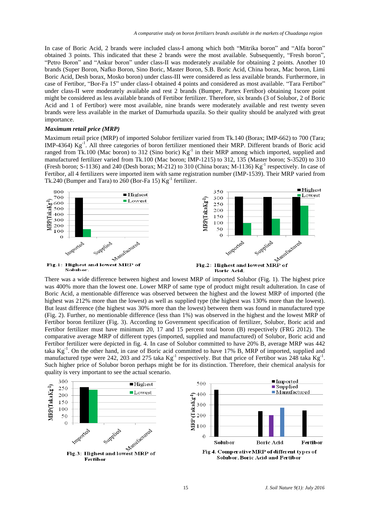In case of Boric Acid, 2 brands were included class-I among which both "Mitrika boron" and "Alfa boron" obtained 3 points. This indicated that these 2 brands were the most available. Subsequently, "Fresh boron", "Petro Boron" and "Ankur boron" under class-II was moderately available for obtaining 2 points. Another 10 brands (Super Boron, Nafko Boron, Sino Boric, Master Boron, S.B. Boric Acid, China borax, Mac boron, Limi Boric Acid, Desh borax, Mosko boron) under class-III were considered as less available brands. Furthermore, in case of Fertibor, "Bor-Fa 15" under class-I obtained 4 points and considered as most available. "Tara Fertibor" under class-II were moderately available and rest 2 brands (Bumper, Partex Fertibor) obtaining 1score point might be considered as less available brands of Fertibor fertilizer. Therefore, six brands (3 of Solubor, 2 of Boric Acid and 1 of Fertibor) were most available, nine brands were moderately available and rest twenty seven brands were less available in the market of Damurhuda upazila. So their quality should be analyzed with great importance.

#### *Maximum retail price (MRP)*

Maximum retail price (MRP) of imported Solubor fertilizer varied from Tk.140 (Borax; IMP-662) to 700 (Tara; IMP-4364) Kg<sup>-1</sup>. All three categories of boron fertilizer mentioned their MRP. Different brands of Boric acid ranged from Tk.100 (Mac boron) to 312 (Sino boric)  $Kg^{-1}$  in their MRP among which imported, supplied and manufactured fertilizer varied from Tk.100 (Mac boron; IMP-1215) to 312, 135 (Master boron; S-3520) to 310 (Fresh boron; S-1136) and 240 (Desh borax; M-212) to 310 (China borax; M-1136) Kg<sup>-1</sup> respectively. In case of Fertibor, all 4 fertilizers were imported item with same registration number (IMP-1539). Their MRP varied from Tk.240 (Bumper and Tara) to 260 (Bor-Fa 15)  $\text{Kg}^{-1}$  fertilizer.



There was a wide difference between highest and lowest MRP of imported Solubor (Fig. 1). The highest price was 400% more than the lowest one. Lower MRP of same type of product might result adulteration. In case of Boric Acid, a mentionable difference was observed between the highest and the lowest MRP of imported (the highest was 212% more than the lowest) as well as supplied type (the highest was 130% more than the lowest). But least difference (the highest was 30% more than the lowest) between them was found in manufactured type (Fig. 2). Further, no mentionable difference (less than 1%) was observed in the highest and the lowest MRP of Fertibor boron fertilizer (Fig. 3). According to Government specification of fertilizer, Solubor, Boric acid and Fertibor fertilizer must have minimum 20, 17 and 15 percent total boron (B) respectively (FRG 2012). The comparative average MRP of different types (imported, supplied and manufactured) of Solubor, Boric acid and Fertibor fertilizer were depicted in fig. 4. In case of Solubor committed to have 20% B, average MRP was 442 taka Kg<sup>-1</sup>. On the other hand, in case of Boric acid committed to have 17% B, MRP of imported, supplied and manufactured type were 242, 203 and 275 taka  $Kg^{-1}$  respectively. But that price of Fertibor was 248 taka  $Kg^{-1}$ . Such higher price of Solubor boron perhaps might be for its distinction. Therefore, their chemical analysis for quality is very important to see the actual scenario.

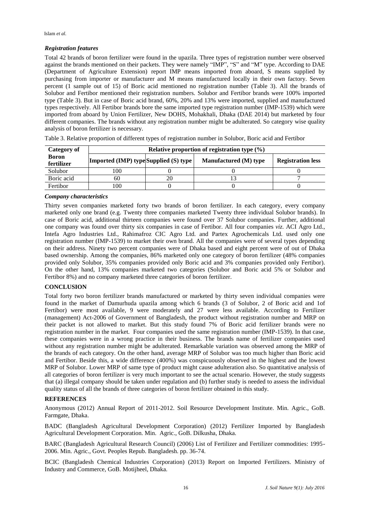# *Registration features*

Total 42 brands of boron fertilizer were found in the upazila. Three types of registration number were observed against the brands mentioned on their packets. They were namely "IMP", "S" and "M" type. According to DAE (Department of Agriculture Extension) report IMP means imported from aboard, S means supplied by purchasing from importer or manufacturer and M means manufactured locally in their own factory. Seven percent (1 sample out of 15) of Boric acid mentioned no registration number (Table 3). All the brands of Solubor and Fertibor mentioned their registration numbers. Solubor and Fertibor brands were 100% imported type (Table 3). But in case of Boric acid brand, 60%, 20% and 13% were imported, supplied and manufactured types respectively. All Fertibor brands bore the same imported type registration number (IMP-1539) which were imported from aboard by Union Fertilizer, New DOHS, Mohakhali, Dhaka (DAE 2014) but marketed by four different companies. The brands without any registration number might be adulterated. So category wise quality analysis of boron fertilizer is necessary.

| Category of                | Relative proportion of registration type $(\%)$ |  |                       |                          |  |  |  |
|----------------------------|-------------------------------------------------|--|-----------------------|--------------------------|--|--|--|
| <b>Boron</b><br>fertilizer | <b>Imported (IMP) type Supplied (S) type</b>    |  | Manufactured (M) type | <b>Registration less</b> |  |  |  |
| Solubor                    | 100                                             |  |                       |                          |  |  |  |
| Boric acid                 | 60                                              |  |                       |                          |  |  |  |
| Fertibor                   | 100                                             |  |                       |                          |  |  |  |

Table 3. Relative proportion of different types of registration number in Solubor, Boric acid and Fertibor

#### *Company characteristics*

Thirty seven companies marketed forty two brands of boron fertilizer. In each category, every company marketed only one brand (e.g. Twenty three companies marketed Twenty three individual Solubor brands). In case of Boric acid, additional thirteen companies were found over 37 Solubor companies. Further, additional one company was found over thirty six companies in case of Fertibor. All four companies *viz*. ACI Agro Ltd., Intefa Agro Industries Ltd., Rahimafroz CIC Agro Ltd. and Partex Agrochemicals Ltd. used only one registration number (IMP-1539) to market their own brand. All the companies were of several types depending on their address. Ninety two percent companies were of Dhaka based and eight percent were of out of Dhaka based ownership. Among the companies, 86% marketed only one category of boron fertilizer (48% companies provided only Solubor, 35% companies provided only Boric acid and 3% companies provided only Fertibor). On the other hand, 13% companies marketed two categories (Solubor and Boric acid 5% or Solubor and Fertibor 8%) and no company marketed three categories of boron fertilizer.

#### **CONCLUSION**

Total forty two boron fertilizer brands manufactured or marketed by thirty seven individual companies were found in the market of Damurhuda upazila among which 6 brands (3 of Solubor, 2 of Boric acid and 1of Fertibor) were most available, 9 were moderately and 27 were less available. According to Fertilizer (management) Act-2006 of Government of Bangladesh, the product without registration number and MRP on their packet is not allowed to market. But this study found 7% of Boric acid fertilizer brands were no registration number in the market. Four companies used the same registration number (IMP-1539). In that case, these companies were in a wrong practice in their business. The brands name of fertilizer companies used without any registration number might be adulterated. Remarkable variation was observed among the MRP of the brands of each category. On the other hand, average MRP of Solubor was too much higher than Boric acid and Fertibor. Beside this, a wide difference (400%) was conspicuously observed in the highest and the lowest MRP of Solubor. Lower MRP of same type of product might cause adulteration also. So quantitative analysis of all categories of boron fertilizer is very much important to see the actual scenario. However, the study suggests that (a) illegal company should be taken under regulation and (b) further study is needed to assess the individual quality status of all the brands of three categories of boron fertilizer obtained in this study.

#### **REFERENCES**

Anonymous (2012) Annual Report of 2011-2012. Soil Resource Development Institute. Min. Agric., GoB. Farmgate, Dhaka.

BADC (Bangladesh Agricultural Development Corporation) (2012) Fertilizer Imported by Bangladesh Agricultural Development Corporation. Min. Agric., GoB. Dilkusha, Dhaka.

BARC (Bangladesh Agricultural Research Council) (2006) List of Fertilizer and Fertilizer commodities: 1995- 2006. Min. Agric., Govt. Peoples Repub. Bangladesh. pp. 36-74.

BCIC (Bangladesh Chemical Industries Corporation) (2013) Report on Imported Fertilizers. Ministry of Industry and Commerce, GoB. Motijheel, Dhaka.